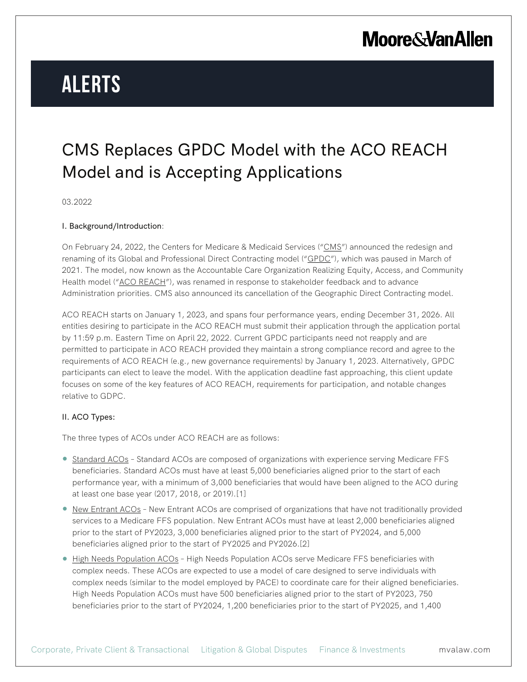# **Alerts**

# CMS Replaces GPDC Model with the ACO REACH Model and is Accepting Applications

03.2022

#### I. Background/Introduction:

On February 24, 2022, the Centers for Medicare & Medicaid Services ("CMS") announced the redesign and renaming of its Global and Professional Direct Contracting model ("GPDC"), which was paused in March of 2021. The model, now known as the Accountable Care Organization Realizing Equity, Access, and Community Health model ("ACO REACH"), was renamed in response to stakeholder feedback and to advance Administration priorities. CMS also announced its cancellation of the Geographic Direct Contracting model.

ACO REACH starts on January 1, 2023, and spans four performance years, ending December 31, 2026. All entities desiring to participate in the ACO REACH must submit their application through the application portal by 11:59 p.m. Eastern Time on April 22, 2022. Current GPDC participants need not reapply and are permitted to participate in ACO REACH provided they maintain a strong compliance record and agree to the requirements of ACO REACH (e.g., new governance requirements) by January 1, 2023. Alternatively, GPDC participants can elect to leave the model. With the application deadline fast approaching, this client update focuses on some of the key features of ACO REACH, requirements for participation, and notable changes relative to GDPC.

### II. ACO Types:

The three types of ACOs under ACO REACH are as follows:

- Standard ACOs Standard ACOs are composed of organizations with experience serving Medicare FFS beneficiaries. Standard ACOs must have at least 5,000 beneficiaries aligned prior to the start of each performance year, with a minimum of 3,000 beneficiaries that would have been aligned to the ACO during at least one base year (2017, 2018, or 2019).[1]
- New Entrant ACOs New Entrant ACOs are comprised of organizations that have not traditionally provided services to a Medicare FFS population. New Entrant ACOs must have at least 2,000 beneficiaries aligned prior to the start of PY2023, 3,000 beneficiaries aligned prior to the start of PY2024, and 5,000 beneficiaries aligned prior to the start of PY2025 and PY2026.[2]
- **High Needs Population ACOs High Needs Population ACOs serve Medicare FFS beneficiaries with** complex needs. These ACOs are expected to use a model of care designed to serve individuals with complex needs (similar to the model employed by PACE) to coordinate care for their aligned beneficiaries. High Needs Population ACOs must have 500 beneficiaries aligned prior to the start of PY2023, 750 beneficiaries prior to the start of PY2024, 1,200 beneficiaries prior to the start of PY2025, and 1,400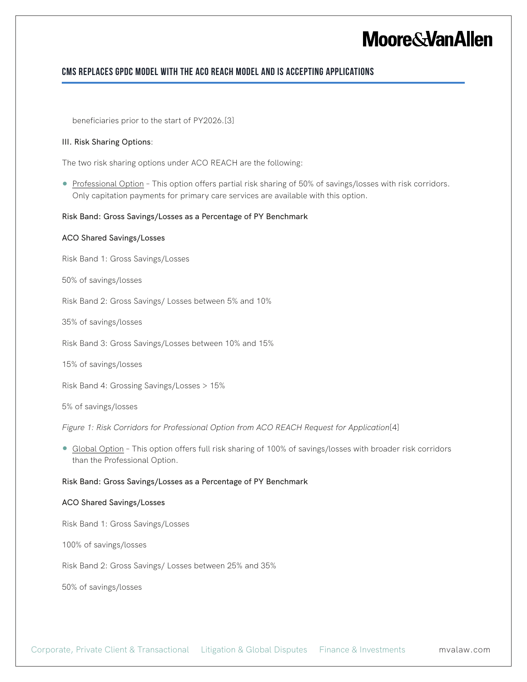# **Moore & Van Allen**

### **CMS Replaces GPDC Model with the ACO REACH Model and is Accepting Applications**

beneficiaries prior to the start of PY2026.[3]

#### III. Risk Sharing Options:

The two risk sharing options under ACO REACH are the following:

● Professional Option - This option offers partial risk sharing of 50% of savings/losses with risk corridors. Only capitation payments for primary care services are available with this option.

#### Risk Band: Gross Savings/Losses as a Percentage of PY Benchmark

#### ACO Shared Savings/Losses

Risk Band 1: Gross Savings/Losses

50% of savings/losses

Risk Band 2: Gross Savings/ Losses between 5% and 10%

35% of savings/losses

Risk Band 3: Gross Savings/Losses between 10% and 15%

15% of savings/losses

Risk Band 4: Grossing Savings/Losses > 15%

5% of savings/losses

*Figure 1: Risk Corridors for Professional Option from ACO REACH Request for Application*[4]

● Global Option - This option offers full risk sharing of 100% of savings/losses with broader risk corridors than the Professional Option.

#### Risk Band: Gross Savings/Losses as a Percentage of PY Benchmark

#### ACO Shared Savings/Losses

Risk Band 1: Gross Savings/Losses

100% of savings/losses

Risk Band 2: Gross Savings/ Losses between 25% and 35%

50% of savings/losses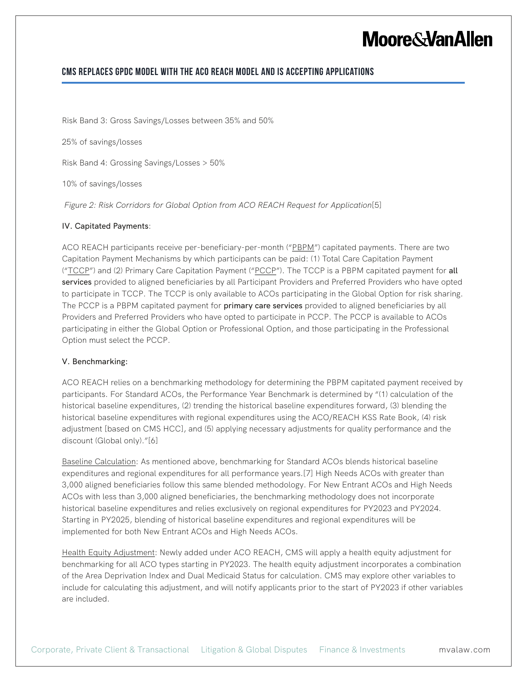# **Moore&VanAllen**

### **CMS Replaces GPDC Model with the ACO REACH Model and is Accepting Applications**

Risk Band 3: Gross Savings/Losses between 35% and 50%

25% of savings/losses

Risk Band 4: Grossing Savings/Losses > 50%

10% of savings/losses

*Figure 2: Risk Corridors for Global Option from ACO REACH Request for Application*[5]

#### IV. Capitated Payments:

ACO REACH participants receive per-beneficiary-per-month ("PBPM") capitated payments. There are two Capitation Payment Mechanisms by which participants can be paid: (1) Total Care Capitation Payment ("TCCP") and (2) Primary Care Capitation Payment ("PCCP"). The TCCP is a PBPM capitated payment for all services provided to aligned beneficiaries by all Participant Providers and Preferred Providers who have opted to participate in TCCP. The TCCP is only available to ACOs participating in the Global Option for risk sharing. The PCCP is a PBPM capitated payment for **primary care services** provided to aligned beneficiaries by all Providers and Preferred Providers who have opted to participate in PCCP. The PCCP is available to ACOs participating in either the Global Option or Professional Option, and those participating in the Professional Option must select the PCCP.

#### V. Benchmarking:

ACO REACH relies on a benchmarking methodology for determining the PBPM capitated payment received by participants. For Standard ACOs, the Performance Year Benchmark is determined by "(1) calculation of the historical baseline expenditures, (2) trending the historical baseline expenditures forward, (3) blending the historical baseline expenditures with regional expenditures using the ACO/REACH KSS Rate Book, (4) risk adjustment [based on CMS HCC], and (5) applying necessary adjustments for quality performance and the discount (Global only)."[6]

Baseline Calculation: As mentioned above, benchmarking for Standard ACOs blends historical baseline expenditures and regional expenditures for all performance years.[7] High Needs ACOs with greater than 3,000 aligned beneficiaries follow this same blended methodology. For New Entrant ACOs and High Needs ACOs with less than 3,000 aligned beneficiaries, the benchmarking methodology does not incorporate historical baseline expenditures and relies exclusively on regional expenditures for PY2023 and PY2024. Starting in PY2025, blending of historical baseline expenditures and regional expenditures will be implemented for both New Entrant ACOs and High Needs ACOs.

Health Equity Adjustment: Newly added under ACO REACH, CMS will apply a health equity adjustment for benchmarking for all ACO types starting in PY2023. The health equity adjustment incorporates a combination of the Area Deprivation Index and Dual Medicaid Status for calculation. CMS may explore other variables to include for calculating this adjustment, and will notify applicants prior to the start of PY2023 if other variables are included.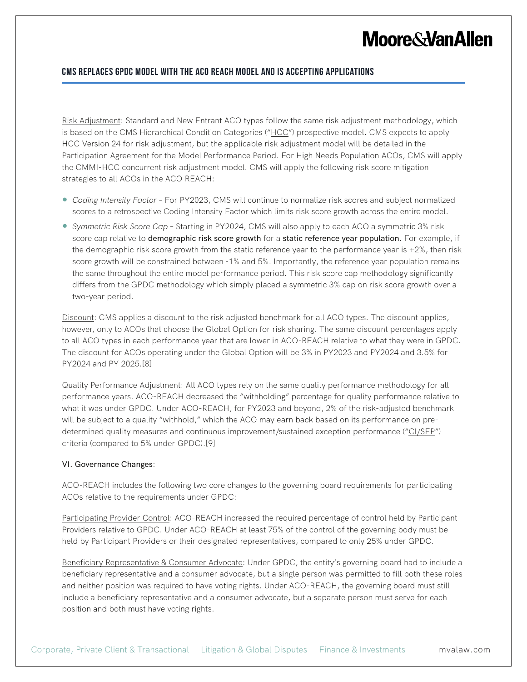# **Moore&VanAllen**

## **CMS Replaces GPDC Model with the ACO REACH Model and is Accepting Applications**

Risk Adjustment: Standard and New Entrant ACO types follow the same risk adjustment methodology, which is based on the CMS Hierarchical Condition Categories ("HCC") prospective model. CMS expects to apply HCC Version 24 for risk adjustment, but the applicable risk adjustment model will be detailed in the Participation Agreement for the Model Performance Period. For High Needs Population ACOs, CMS will apply the CMMI-HCC concurrent risk adjustment model. CMS will apply the following risk score mitigation strategies to all ACOs in the ACO REACH:

- *Coding Intensity Factor* For PY2023, CMS will continue to normalize risk scores and subject normalized scores to a retrospective Coding Intensity Factor which limits risk score growth across the entire model.
- *Symmetric Risk Score Cap* Starting in PY2024, CMS will also apply to each ACO a symmetric 3% risk score cap relative to demographic risk score growth for a static reference year population. For example, if the demographic risk score growth from the static reference year to the performance year is  $+2\%$ , then risk score growth will be constrained between -1% and 5%. Importantly, the reference year population remains the same throughout the entire model performance period. This risk score cap methodology significantly differs from the GPDC methodology which simply placed a symmetric 3% cap on risk score growth over a two-year period.

Discount: CMS applies a discount to the risk adjusted benchmark for all ACO types. The discount applies, however, only to ACOs that choose the Global Option for risk sharing. The same discount percentages apply to all ACO types in each performance year that are lower in ACO-REACH relative to what they were in GPDC. The discount for ACOs operating under the Global Option will be 3% in PY2023 and PY2024 and 3.5% for PY2024 and PY 2025.[8]

Quality Performance Adjustment: All ACO types rely on the same quality performance methodology for all performance years. ACO-REACH decreased the "withholding" percentage for quality performance relative to what it was under GPDC. Under ACO-REACH, for PY2023 and beyond, 2% of the risk-adjusted benchmark will be subject to a quality "withhold," which the ACO may earn back based on its performance on predetermined quality measures and continuous improvement/sustained exception performance ("CI/SEP") criteria (compared to 5% under GPDC).[9]

### VI. Governance Changes:

ACO-REACH includes the following two core changes to the governing board requirements for participating ACOs relative to the requirements under GPDC:

Participating Provider Control: ACO-REACH increased the required percentage of control held by Participant Providers relative to GPDC. Under ACO-REACH at least 75% of the control of the governing body must be held by Participant Providers or their designated representatives, compared to only 25% under GPDC.

Beneficiary Representative & Consumer Advocate: Under GPDC, the entity's governing board had to include a beneficiary representative and a consumer advocate, but a single person was permitted to fill both these roles and neither position was required to have voting rights. Under ACO-REACH, the governing board must still include a beneficiary representative and a consumer advocate, but a separate person must serve for each position and both must have voting rights.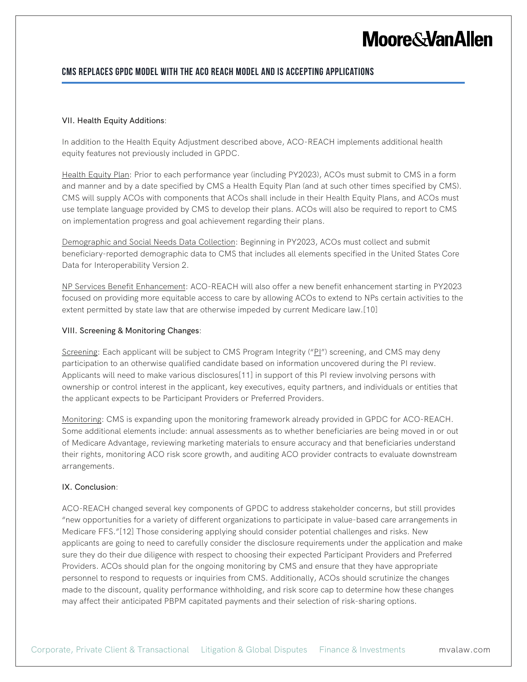# **Moore&VanAllen**

### **CMS Replaces GPDC Model with the ACO REACH Model and is Accepting Applications**

#### VII. Health Equity Additions:

In addition to the Health Equity Adjustment described above, ACO-REACH implements additional health equity features not previously included in GPDC.

Health Equity Plan: Prior to each performance year (including PY2023), ACOs must submit to CMS in a form and manner and by a date specified by CMS a Health Equity Plan (and at such other times specified by CMS). CMS will supply ACOs with components that ACOs shall include in their Health Equity Plans, and ACOs must use template language provided by CMS to develop their plans. ACOs will also be required to report to CMS on implementation progress and goal achievement regarding their plans.

Demographic and Social Needs Data Collection: Beginning in PY2023, ACOs must collect and submit beneficiary-reported demographic data to CMS that includes all elements specified in the United States Core Data for Interoperability Version 2.

NP Services Benefit Enhancement: ACO-REACH will also offer a new benefit enhancement starting in PY2023 focused on providing more equitable access to care by allowing ACOs to extend to NPs certain activities to the extent permitted by state law that are otherwise impeded by current Medicare law.[10]

#### VIII. Screening & Monitoring Changes:

Screening: Each applicant will be subject to CMS Program Integrity ("PI") screening, and CMS may deny participation to an otherwise qualified candidate based on information uncovered during the PI review. Applicants will need to make various disclosures[11] in support of this PI review involving persons with ownership or control interest in the applicant, key executives, equity partners, and individuals or entities that the applicant expects to be Participant Providers or Preferred Providers.

Monitoring: CMS is expanding upon the monitoring framework already provided in GPDC for ACO-REACH. Some additional elements include: annual assessments as to whether beneficiaries are being moved in or out of Medicare Advantage, reviewing marketing materials to ensure accuracy and that beneficiaries understand their rights, monitoring ACO risk score growth, and auditing ACO provider contracts to evaluate downstream arrangements.

#### IX. Conclusion:

ACO-REACH changed several key components of GPDC to address stakeholder concerns, but still provides "new opportunities for a variety of different organizations to participate in value-based care arrangements in Medicare FFS."[12] Those considering applying should consider potential challenges and risks. New applicants are going to need to carefully consider the disclosure requirements under the application and make sure they do their due diligence with respect to choosing their expected Participant Providers and Preferred Providers. ACOs should plan for the ongoing monitoring by CMS and ensure that they have appropriate personnel to respond to requests or inquiries from CMS. Additionally, ACOs should scrutinize the changes made to the discount, quality performance withholding, and risk score cap to determine how these changes may affect their anticipated PBPM capitated payments and their selection of risk-sharing options.